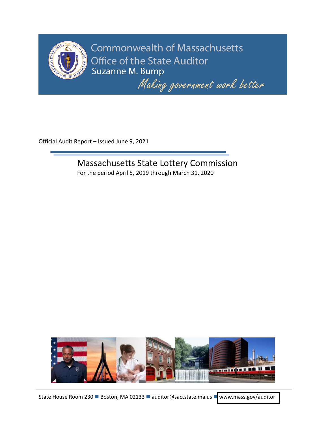

**Commonwealth of Massachusetts** Office of the State Auditor Suzanne M. Bump

Making government work better

Official Audit Report – Issued June 9, 2021

Massachusetts State Lottery Commission For the period April 5, 2019 through March 31, 2020

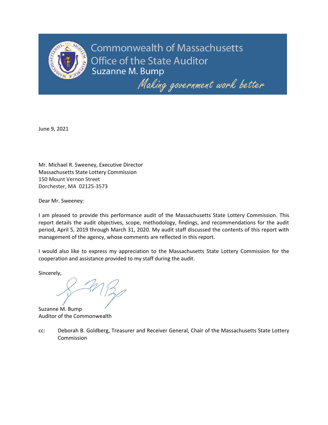

**Commonwealth of Massachusetts** Office of the State Auditor Suzanne M. Bump

Making government work better

June 9, 2021

Mr. Michael R. Sweeney, Executive Director Massachusetts State Lottery Commission 150 Mount Vernon Street Dorchester, MA 02125-3573

Dear Mr. Sweeney:

I am pleased to provide this performance audit of the Massachusetts State Lottery Commission. This report details the audit objectives, scope, methodology, findings, and recommendations for the audit period, April 5, 2019 through March 31, 2020. My audit staff discussed the contents of this report with management of the agency, whose comments are reflected in this report.

I would also like to express my appreciation to the Massachusetts State Lottery Commission for the cooperation and assistance provided to my staff during the audit.

Sincerely,

Suzanne M. Bump Auditor of the Commonwealth

cc: Deborah B. Goldberg, Treasurer and Receiver General, Chair of the Massachusetts State Lottery Commission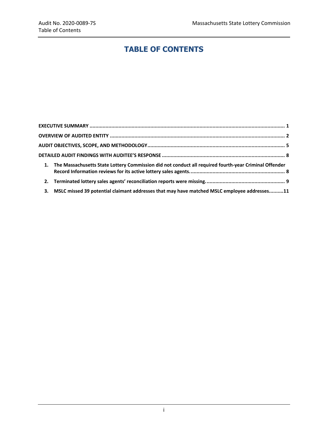# **TABLE OF CONTENTS**

|    | 1. The Massachusetts State Lottery Commission did not conduct all required fourth-year Criminal Offender |  |
|----|----------------------------------------------------------------------------------------------------------|--|
|    |                                                                                                          |  |
| 3. | MSLC missed 39 potential claimant addresses that may have matched MSLC employee addresses11              |  |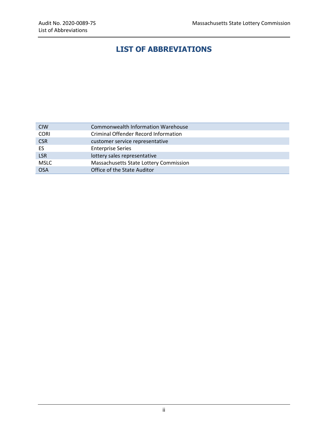# **LIST OF ABBREVIATIONS**

| <b>CIW</b>  | Commonwealth Information Warehouse     |
|-------------|----------------------------------------|
| <b>CORI</b> | Criminal Offender Record Information   |
| <b>CSR</b>  | customer service representative        |
| ES.         | <b>Enterprise Series</b>               |
| <b>LSR</b>  | lottery sales representative           |
| <b>MSLC</b> | Massachusetts State Lottery Commission |
| <b>OSA</b>  | Office of the State Auditor            |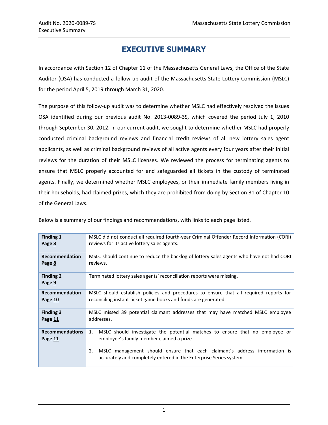## **EXECUTIVE SUMMARY**

<span id="page-4-0"></span>In accordance with Section 12 of Chapter 11 of the Massachusetts General Laws, the Office of the State Auditor (OSA) has conducted a follow-up audit of the Massachusetts State Lottery Commission (MSLC) for the period April 5, 2019 through March 31, 2020.

The purpose of this follow-up audit was to determine whether MSLC had effectively resolved the issues OSA identified during our previous audit No. 2013-0089-3S, which covered the period July 1, 2010 through September 30, 2012. In our current audit, we sought to determine whether MSLC had properly conducted criminal background reviews and financial credit reviews of all new lottery sales agent applicants, as well as criminal background reviews of all active agents every four years after their initial reviews for the duration of their MSLC licenses. We reviewed the process for terminating agents to ensure that MSLC properly accounted for and safeguarded all tickets in the custody of terminated agents. Finally, we determined whether MSLC employees, or their immediate family members living in their households, had claimed prizes, which they are prohibited from doing by Section 31 of Chapter 10 of the General Laws.

| <b>Finding 1</b>                  | MSLC did not conduct all required fourth-year Criminal Offender Record Information (CORI)                                                             |
|-----------------------------------|-------------------------------------------------------------------------------------------------------------------------------------------------------|
| Page 8                            | reviews for its active lottery sales agents.                                                                                                          |
| Recommendation                    | MSLC should continue to reduce the backlog of lottery sales agents who have not had CORI                                                              |
| Page 8                            | reviews.                                                                                                                                              |
| <b>Finding 2</b><br>Page 9        | Terminated lottery sales agents' reconciliation reports were missing.                                                                                 |
| Recommendation                    | MSLC should establish policies and procedures to ensure that all required reports for                                                                 |
| Page 10                           | reconciling instant ticket game books and funds are generated.                                                                                        |
| <b>Finding 3</b>                  | MSLC missed 39 potential claimant addresses that may have matched MSLC employee                                                                       |
| Page 11                           | addresses.                                                                                                                                            |
| <b>Recommendations</b><br>Page 11 | MSLC should investigate the potential matches to ensure that no employee or<br>1.<br>employee's family member claimed a prize.                        |
|                                   | MSLC management should ensure that each claimant's address information is<br>2.<br>accurately and completely entered in the Enterprise Series system. |

Below is a summary of our findings and recommendations, with links to each page listed.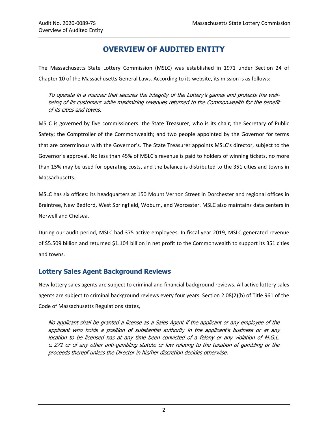## **OVERVIEW OF AUDITED ENTITY**

<span id="page-5-0"></span>The Massachusetts State Lottery Commission (MSLC) was established in 1971 under Section 24 of Chapter 10 of the Massachusetts General Laws. According to its website, its mission is as follows:

To operate in a manner that secures the integrity of the Lottery's games and protects the wellbeing of its customers while maximizing revenues returned to the Commonwealth for the benefit of its cities and towns.

MSLC is governed by five commissioners: the State Treasurer, who is its chair; the Secretary of Public Safety; the Comptroller of the Commonwealth; and two people appointed by the Governor for terms that are coterminous with the Governor's. The State Treasurer appoints MSLC's director, subject to the Governor's approval. No less than 45% of MSLC's revenue is paid to holders of winning tickets, no more than 15% may be used for operating costs, and the balance is distributed to the 351 cities and towns in Massachusetts.

MSLC has six offices: its headquarters at 150 Mount Vernon Street in Dorchester and regional offices in Braintree, New Bedford, West Springfield, Woburn, and Worcester. MSLC also maintains data centers in Norwell and Chelsea.

During our audit period, MSLC had 375 active employees. In fiscal year 2019, MSLC generated revenue of \$5.509 billion and returned \$1.104 billion in net profit to the Commonwealth to support its 351 cities and towns.

## **Lottery Sales Agent Background Reviews**

New lottery sales agents are subject to criminal and financial background reviews. All active lottery sales agents are subject to criminal background reviews every four years. Section 2.08(2)(b) of Title 961 of the Code of Massachusetts Regulations states,

No applicant shall be granted a license as a Sales Agent if the applicant or any employee of the applicant who holds a position of substantial authority in the applicant's business or at any location to be licensed has at any time been convicted of a felony or any violation of M.G.L. c. 271 or of any other anti-gambling statute or law relating to the taxation of gambling or the proceeds thereof unless the Director in his/her discretion decides otherwise.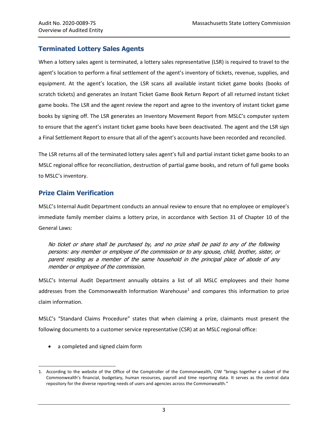## **Terminated Lottery Sales Agents**

When a lottery sales agent is terminated, a lottery sales representative (LSR) is required to travel to the agent's location to perform a final settlement of the agent's inventory of tickets, revenue, supplies, and equipment. At the agent's location, the LSR scans all available instant ticket game books (books of scratch tickets) and generates an Instant Ticket Game Book Return Report of all returned instant ticket game books. The LSR and the agent review the report and agree to the inventory of instant ticket game books by signing off. The LSR generates an Inventory Movement Report from MSLC's computer system to ensure that the agent's instant ticket game books have been deactivated. The agent and the LSR sign a Final Settlement Report to ensure that all of the agent's accounts have been recorded and reconciled.

The LSR returns all of the terminated lottery sales agent's full and partial instant ticket game books to an MSLC regional office for reconciliation, destruction of partial game books, and return of full game books to MSLC's inventory.

## **Prize Claim Verification**

MSLC's Internal Audit Department conducts an annual review to ensure that no employee or employee's immediate family member claims a lottery prize, in accordance with Section 31 of Chapter 10 of the General Laws:

No ticket or share shall be purchased by, and no prize shall be paid to any of the following persons: any member or employee of the commission or to any spouse, child, brother, sister, or parent residing as a member of the same household in the principal place of abode of any member or employee of the commission.

MSLC's Internal Audit Department annually obtains a list of all MSLC employees and their home addresses from the Commonwealth Information Warehouse<sup>1</sup> and compares this information to prize claim information.

MSLC's "Standard Claims Procedure" states that when claiming a prize, claimants must present the following documents to a customer service representative (CSR) at an MSLC regional office:

a completed and signed claim form

 $\overline{a}$ 

<sup>1.</sup> According to the website of the Office of the Comptroller of the Commonwealth, CIW "brings together a subset of the Commonwealth's financial, budgetary, human resources, payroll and time reporting data. It serves as the central data repository for the diverse reporting needs of users and agencies across the Commonwealth."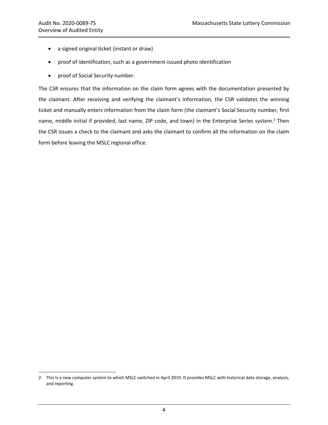$\overline{a}$ 

- a signed original ticket (instant or draw)
- proof of identification, such as a government-issued photo identification
- proof of Social Security number.

The CSR ensures that the information on the claim form agrees with the documentation presented by the claimant. After receiving and verifying the claimant's information, the CSR validates the winning ticket and manually enters information from the claim form (the claimant's Social Security number, first name, middle initial if provided, last name, ZIP code, and town) in the Enterprise Series system.<sup>2</sup> Then the CSR issues a check to the claimant and asks the claimant to confirm all the information on the claim form before leaving the MSLC regional office.

<sup>2.</sup> This is a new computer system to which MSLC switched in April 2019. It provides MSLC with historical data storage, analysis, and reporting.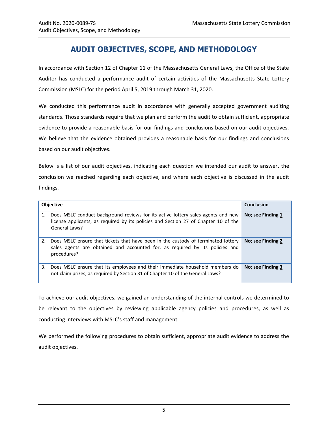## **AUDIT OBJECTIVES, SCOPE, AND METHODOLOGY**

<span id="page-8-0"></span>In accordance with Section 12 of Chapter 11 of the Massachusetts General Laws, the Office of the State Auditor has conducted a performance audit of certain activities of the Massachusetts State Lottery Commission (MSLC) for the period April 5, 2019 through March 31, 2020.

We conducted this performance audit in accordance with generally accepted government auditing standards. Those standards require that we plan and perform the audit to obtain sufficient, appropriate evidence to provide a reasonable basis for our findings and conclusions based on our audit objectives. We believe that the evidence obtained provides a reasonable basis for our findings and conclusions based on our audit objectives.

Below is a list of our audit objectives, indicating each question we intended our audit to answer, the conclusion we reached regarding each objective, and where each objective is discussed in the audit findings.

| <b>Objective</b> |                                                                                                                                                                                          | <b>Conclusion</b> |
|------------------|------------------------------------------------------------------------------------------------------------------------------------------------------------------------------------------|-------------------|
| 1.               | Does MSLC conduct background reviews for its active lottery sales agents and new<br>license applicants, as required by its policies and Section 27 of Chapter 10 of the<br>General Laws? | No; see Finding 1 |
|                  | 2. Does MSLC ensure that tickets that have been in the custody of terminated lottery<br>sales agents are obtained and accounted for, as required by its policies and<br>procedures?      | No; see Finding 2 |
| 3.               | Does MSLC ensure that its employees and their immediate household members do<br>not claim prizes, as required by Section 31 of Chapter 10 of the General Laws?                           | No; see Finding 3 |

To achieve our audit objectives, we gained an understanding of the internal controls we determined to be relevant to the objectives by reviewing applicable agency policies and procedures, as well as conducting interviews with MSLC's staff and management.

We performed the following procedures to obtain sufficient, appropriate audit evidence to address the audit objectives.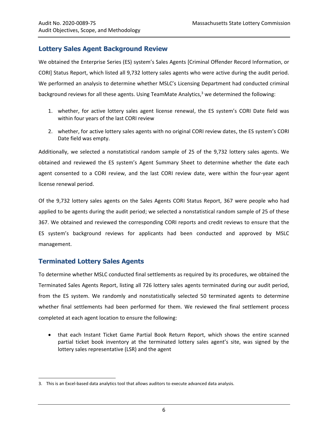## **Lottery Sales Agent Background Review**

We obtained the Enterprise Series (ES) system's Sales Agents [Criminal Offender Record Information, or CORI] Status Report, which listed all 9,732 lottery sales agents who were active during the audit period. We performed an analysis to determine whether MSLC's Licensing Department had conducted criminal background reviews for all these agents. Using TeamMate Analytics,<sup>3</sup> we determined the following:

- 1. whether, for active lottery sales agent license renewal, the ES system's CORI Date field was within four years of the last CORI review
- 2. whether, for active lottery sales agents with no original CORI review dates, the ES system's CORI Date field was empty.

Additionally, we selected a nonstatistical random sample of 25 of the 9,732 lottery sales agents. We obtained and reviewed the ES system's Agent Summary Sheet to determine whether the date each agent consented to a CORI review, and the last CORI review date, were within the four-year agent license renewal period.

Of the 9,732 lottery sales agents on the Sales Agents CORI Status Report, 367 were people who had applied to be agents during the audit period; we selected a nonstatistical random sample of 25 of these 367. We obtained and reviewed the corresponding CORI reports and credit reviews to ensure that the ES system's background reviews for applicants had been conducted and approved by MSLC management.

## **Terminated Lottery Sales Agents**

 $\overline{a}$ 

To determine whether MSLC conducted final settlements as required by its procedures, we obtained the Terminated Sales Agents Report, listing all 726 lottery sales agents terminated during our audit period, from the ES system. We randomly and nonstatistically selected 50 terminated agents to determine whether final settlements had been performed for them. We reviewed the final settlement process completed at each agent location to ensure the following:

• that each Instant Ticket Game Partial Book Return Report, which shows the entire scanned partial ticket book inventory at the terminated lottery sales agent's site, was signed by the lottery sales representative (LSR) and the agent

<sup>3.</sup> This is an Excel-based data analytics tool that allows auditors to execute advanced data analysis.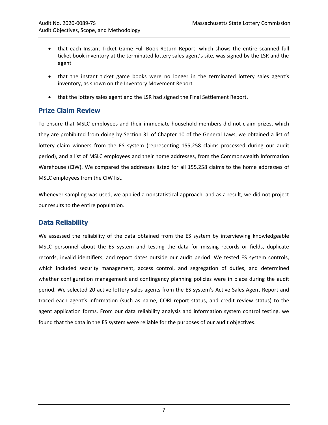- that each Instant Ticket Game Full Book Return Report, which shows the entire scanned full ticket book inventory at the terminated lottery sales agent's site, was signed by the LSR and the agent
- that the instant ticket game books were no longer in the terminated lottery sales agent's inventory, as shown on the Inventory Movement Report
- that the lottery sales agent and the LSR had signed the Final Settlement Report.

## **Prize Claim Review**

To ensure that MSLC employees and their immediate household members did not claim prizes, which they are prohibited from doing by Section 31 of Chapter 10 of the General Laws, we obtained a list of lottery claim winners from the ES system (representing 155,258 claims processed during our audit period), and a list of MSLC employees and their home addresses, from the Commonwealth Information Warehouse (CIW). We compared the addresses listed for all 155,258 claims to the home addresses of MSLC employees from the CIW list.

Whenever sampling was used, we applied a nonstatistical approach, and as a result, we did not project our results to the entire population.

## **Data Reliability**

We assessed the reliability of the data obtained from the ES system by interviewing knowledgeable MSLC personnel about the ES system and testing the data for missing records or fields, duplicate records, invalid identifiers, and report dates outside our audit period. We tested ES system controls, which included security management, access control, and segregation of duties, and determined whether configuration management and contingency planning policies were in place during the audit period. We selected 20 active lottery sales agents from the ES system's Active Sales Agent Report and traced each agent's information (such as name, CORI report status, and credit review status) to the agent application forms. From our data reliability analysis and information system control testing, we found that the data in the ES system were reliable for the purposes of our audit objectives.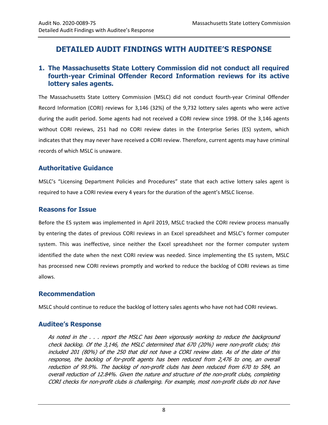## <span id="page-11-0"></span>**DETAILED AUDIT FINDINGS WITH AUDITEE'S RESPONSE**

## <span id="page-11-1"></span>**1. The Massachusetts State Lottery Commission did not conduct all required fourth-year Criminal Offender Record Information reviews for its active lottery sales agents.**

The Massachusetts State Lottery Commission (MSLC) did not conduct fourth-year Criminal Offender Record Information (CORI) reviews for 3,146 (32%) of the 9,732 lottery sales agents who were active during the audit period. Some agents had not received a CORI review since 1998. Of the 3,146 agents without CORI reviews, 251 had no CORI review dates in the Enterprise Series (ES) system, which indicates that they may never have received a CORI review. Therefore, current agents may have criminal records of which MSLC is unaware.

## **Authoritative Guidance**

MSLC's "Licensing Department Policies and Procedures" state that each active lottery sales agent is required to have a CORI review every 4 years for the duration of the agent's MSLC license.

#### **Reasons for Issue**

Before the ES system was implemented in April 2019, MSLC tracked the CORI review process manually by entering the dates of previous CORI reviews in an Excel spreadsheet and MSLC's former computer system. This was ineffective, since neither the Excel spreadsheet nor the former computer system identified the date when the next CORI review was needed. Since implementing the ES system, MSLC has processed new CORI reviews promptly and worked to reduce the backlog of CORI reviews as time allows.

#### <span id="page-11-2"></span>**Recommendation**

MSLC should continue to reduce the backlog of lottery sales agents who have not had CORI reviews.

#### **Auditee's Response**

As noted in the . . . report the MSLC has been vigorously working to reduce the background check backlog. Of the 3,146, the MSLC determined that 670 (20%) were non-profit clubs; this included 201 (80%) of the 250 that did not have a CORI review date. As of the date of this response, the backlog of for-profit agents has been reduced from 2,476 to one, an overall reduction of 99.9%. The backlog of non-profit clubs has been reduced from 670 to 584, an overall reduction of 12.84%. Given the nature and structure of the non-profit clubs, completing CORI checks for non-profit clubs is challenging. For example, most non-profit clubs do not have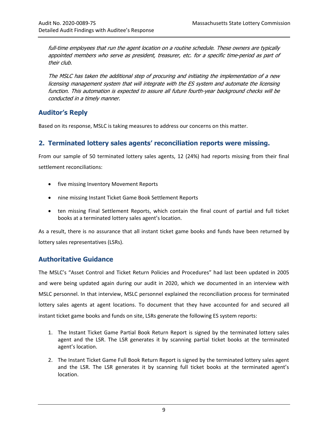full-time employees that run the agent location on a routine schedule. These owners are typically appointed members who serve as president, treasurer, etc. for a specific time-period as part of their club.

The MSLC has taken the additional step of procuring and initiating the implementation of a new licensing management system that will integrate with the ES system and automate the licensing function. This automation is expected to assure all future fourth-year background checks will be conducted in a timely manner.

## **Auditor's Reply**

Based on its response, MSLC is taking measures to address our concerns on this matter.

## <span id="page-12-0"></span>**2. Terminated lottery sales agents' reconciliation reports were missing.**

From our sample of 50 terminated lottery sales agents, 12 (24%) had reports missing from their final settlement reconciliations:

- five missing Inventory Movement Reports
- nine missing Instant Ticket Game Book Settlement Reports
- ten missing Final Settlement Reports, which contain the final count of partial and full ticket books at a terminated lottery sales agent's location.

As a result, there is no assurance that all instant ticket game books and funds have been returned by lottery sales representatives (LSRs).

## **Authoritative Guidance**

The MSLC's "Asset Control and Ticket Return Policies and Procedures" had last been updated in 2005 and were being updated again during our audit in 2020, which we documented in an interview with MSLC personnel. In that interview, MSLC personnel explained the reconciliation process for terminated lottery sales agents at agent locations. To document that they have accounted for and secured all instant ticket game books and funds on site, LSRs generate the following ES system reports:

- 1. The Instant Ticket Game Partial Book Return Report is signed by the terminated lottery sales agent and the LSR. The LSR generates it by scanning partial ticket books at the terminated agent's location.
- 2. The Instant Ticket Game Full Book Return Report is signed by the terminated lottery sales agent and the LSR. The LSR generates it by scanning full ticket books at the terminated agent's location.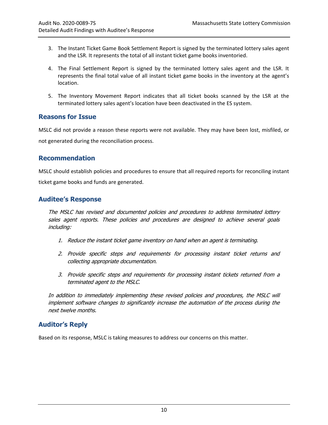- 3. The Instant Ticket Game Book Settlement Report is signed by the terminated lottery sales agent and the LSR. It represents the total of all instant ticket game books inventoried.
- 4. The Final Settlement Report is signed by the terminated lottery sales agent and the LSR. It represents the final total value of all instant ticket game books in the inventory at the agent's location.
- 5. The Inventory Movement Report indicates that all ticket books scanned by the LSR at the terminated lottery sales agent's location have been deactivated in the ES system.

#### **Reasons for Issue**

MSLC did not provide a reason these reports were not available. They may have been lost, misfiled, or not generated during the reconciliation process.

#### <span id="page-13-0"></span>**Recommendation**

MSLC should establish policies and procedures to ensure that all required reports for reconciling instant ticket game books and funds are generated.

#### **Auditee's Response**

The MSLC has revised and documented policies and procedures to address terminated lottery sales agent reports. These policies and procedures are designed to achieve several goals including:

- 1. Reduce the instant ticket game inventory on hand when an agent is terminating.
- 2. Provide specific steps and requirements for processing instant ticket returns and collecting appropriate documentation.
- 3. Provide specific steps and requirements for processing instant tickets returned from a terminated agent to the MSLC.

In addition to immediately implementing these revised policies and procedures, the MSLC will implement software changes to significantly increase the automation of the process during the next twelve months.

## **Auditor's Reply**

Based on its response, MSLC is taking measures to address our concerns on this matter.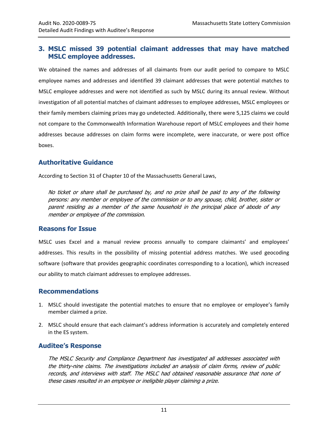## <span id="page-14-0"></span>**3. MSLC missed 39 potential claimant addresses that may have matched MSLC employee addresses.**

We obtained the names and addresses of all claimants from our audit period to compare to MSLC employee names and addresses and identified 39 claimant addresses that were potential matches to MSLC employee addresses and were not identified as such by MSLC during its annual review. Without investigation of all potential matches of claimant addresses to employee addresses, MSLC employees or their family members claiming prizes may go undetected. Additionally, there were 5,125 claims we could not compare to the Commonwealth Information Warehouse report of MSLC employees and their home addresses because addresses on claim forms were incomplete, were inaccurate, or were post office boxes.

## **Authoritative Guidance**

According to Section 31 of Chapter 10 of the Massachusetts General Laws,

No ticket or share shall be purchased by, and no prize shall be paid to any of the following persons: any member or employee of the commission or to any spouse, child, brother, sister or parent residing as a member of the same household in the principal place of abode of any member or employee of the commission.

#### **Reasons for Issue**

MSLC uses Excel and a manual review process annually to compare claimants' and employees' addresses. This results in the possibility of missing potential address matches. We used geocoding software (software that provides geographic coordinates corresponding to a location), which increased our ability to match claimant addresses to employee addresses.

#### <span id="page-14-1"></span>**Recommendations**

- 1. MSLC should investigate the potential matches to ensure that no employee or employee's family member claimed a prize.
- 2. MSLC should ensure that each claimant's address information is accurately and completely entered in the ES system.

#### **Auditee's Response**

The MSLC Security and Compliance Department has investigated all addresses associated with the thirty-nine claims. The investigations included an analysis of claim forms, review of public records, and interviews with staff. The MSLC had obtained reasonable assurance that none of these cases resulted in an employee or ineligible player claiming a prize.